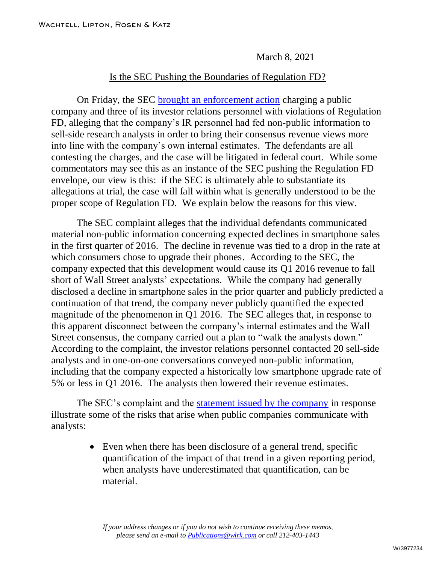March 8, 2021

## Is the SEC Pushing the Boundaries of Regulation FD?

On Friday, the SEC [brought an enforcement action](https://www.sec.gov/news/press-release/2021-43) charging a public company and three of its investor relations personnel with violations of Regulation FD, alleging that the company's IR personnel had fed non-public information to sell-side research analysts in order to bring their consensus revenue views more into line with the company's own internal estimates. The defendants are all contesting the charges, and the case will be litigated in federal court. While some commentators may see this as an instance of the SEC pushing the Regulation FD envelope, our view is this: if the SEC is ultimately able to substantiate its allegations at trial, the case will fall within what is generally understood to be the proper scope of Regulation FD. We explain below the reasons for this view.

The SEC complaint alleges that the individual defendants communicated material non-public information concerning expected declines in smartphone sales in the first quarter of 2016. The decline in revenue was tied to a drop in the rate at which consumers chose to upgrade their phones. According to the SEC, the company expected that this development would cause its Q1 2016 revenue to fall short of Wall Street analysts' expectations. While the company had generally disclosed a decline in smartphone sales in the prior quarter and publicly predicted a continuation of that trend, the company never publicly quantified the expected magnitude of the phenomenon in Q1 2016. The SEC alleges that, in response to this apparent disconnect between the company's internal estimates and the Wall Street consensus, the company carried out a plan to "walk the analysts down." According to the complaint, the investor relations personnel contacted 20 sell-side analysts and in one-on-one conversations conveyed non-public information, including that the company expected a historically low smartphone upgrade rate of 5% or less in Q1 2016. The analysts then lowered their revenue estimates.

The SEC's complaint and the [statement issued by the company](http://www.wlrk.com/docs/AT&T_Disputes_SEC_Allegations.pdf) in response illustrate some of the risks that arise when public companies communicate with analysts:

> Even when there has been disclosure of a general trend, specific quantification of the impact of that trend in a given reporting period, when analysts have underestimated that quantification, can be material.